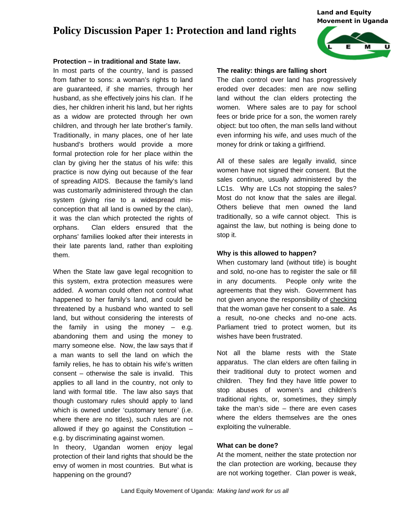# **Policy Discussion Paper 1: Protection and land rights**

#### *Land and Equity Movement in Uganda*



## **Protection – in traditional and State law.**

In most parts of the country, land is passed from father to sons: a woman's rights to land are guaranteed, if she marries, through her husband, as she effectively joins his clan. If he dies, her children inherit his land, but her rights as a widow are protected through her own children, and through her late brother's family. Traditionally, in many places, one of her late husband's brothers would provide a more formal protection role for her place within the clan by giving her the status of his wife: this practice is now dying out because of the fear of spreading AIDS. Because the family's land was customarily administered through the clan system (giving rise to a widespread misconception that all land is owned by the clan), it was the clan which protected the rights of orphans. Clan elders ensured that the orphans' families looked after their interests in their late parents land, rather than exploiting them.

When the State law gave legal recognition to this system, extra protection measures were added. A woman could often not control what happened to her family's land, and could be threatened by a husband who wanted to sell land, but without considering the interests of the family in using the money  $-$  e.g. abandoning them and using the money to marry someone else. Now, the law says that if a man wants to sell the land on which the family relies, he has to obtain his wife's written consent – otherwise the sale is invalid. This applies to all land in the country, not only to land with formal title. The law also says that though customary rules should apply to land which is owned under 'customary tenure' (i.e. where there are no titles), such rules are not allowed if they go against the Constitution  $$ e.g. by discriminating against women.

In theory, Ugandan women enjoy legal protection of their land rights that should be the envy of women in most countries. But what is happening on the ground?

#### **The reality: things are falling short**

The clan control over land has progressively eroded over decades: men are now selling land without the clan elders protecting the women. Where sales are to pay for school fees or bride price for a son, the women rarely object: but too often, the man sells land without even informing his wife, and uses much of the money for drink or taking a girlfriend.

All of these sales are legally invalid, since women have not signed their consent. But the sales continue, usually administered by the LC1s. Why are LCs not stopping the sales? Most do not know that the sales are illegal. Others believe that men owned the land traditionally, so a wife cannot object. This is against the law, but nothing is being done to stop it.

### **Why is this allowed to happen?**

When customary land (without title) is bought and sold, no-one has to register the sale or fill in any documents. People only write the agreements that they wish. Government has not given anyone the responsibility of checking that the woman gave her consent to a sale. As a result, no-one checks and no-one acts. Parliament tried to protect women, but its wishes have been frustrated.

Not all the blame rests with the State apparatus. The clan elders are often failing in their traditional duty to protect women and children. They find they have little power to stop abuses of women's and children's traditional rights, or, sometimes, they simply take the man's side – there are even cases where the elders themselves are the ones exploiting the vulnerable.

### **What can be done?**

At the moment, neither the state protection nor the clan protection are working, because they are not working together. Clan power is weak,